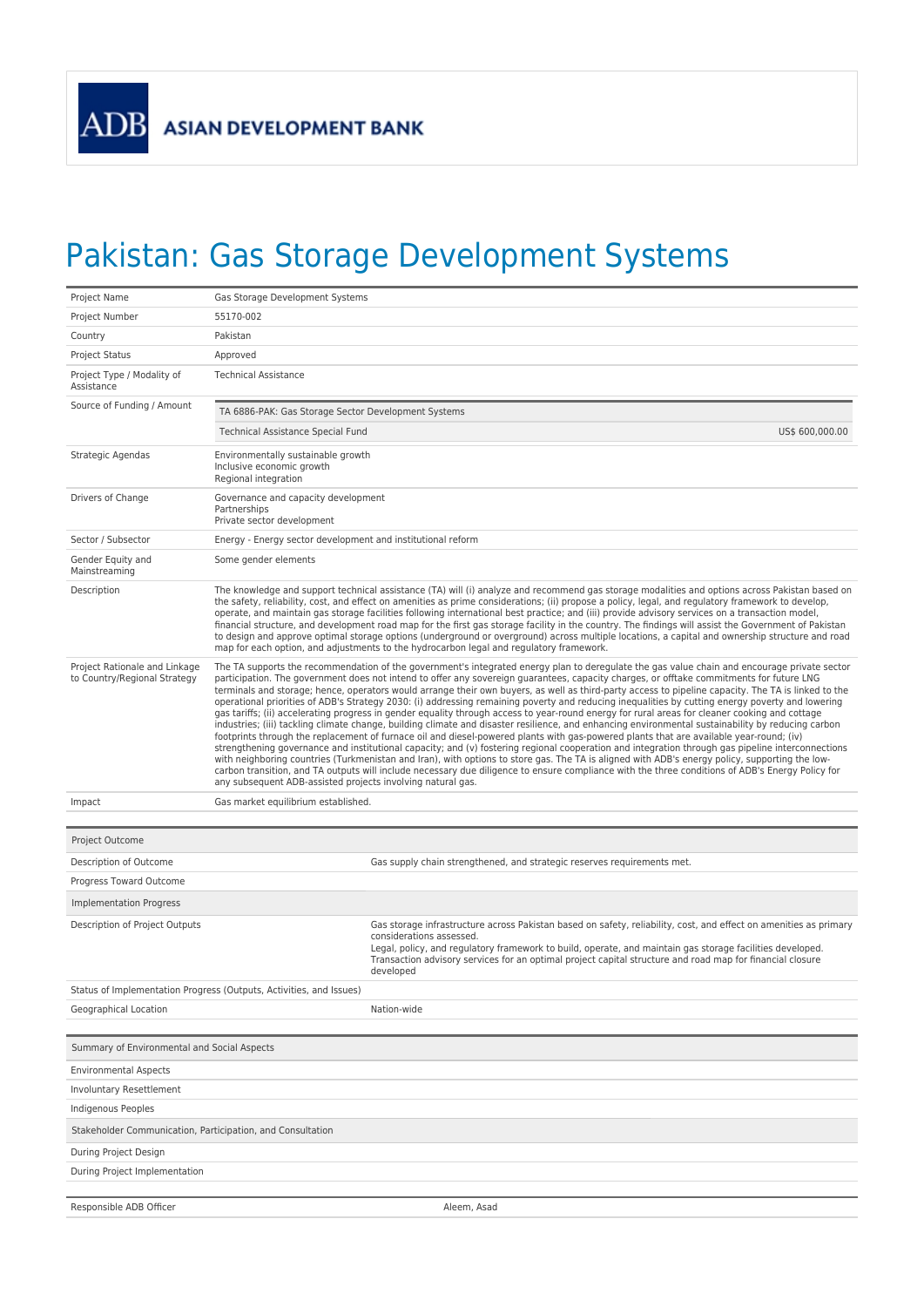## Pakistan: Gas Storage Development Systems

| Project Name                                                  | Gas Storage Development Systems                                                                                                                                                                                                                                                                                                                                                                                                                                                                                                                                                                                                                                                                                                                                                                                                                                                                                                                                                                                                                                                                                                                                                                                                                                                                                                                                                                                                                                                                                                                                                  |  |  |  |
|---------------------------------------------------------------|----------------------------------------------------------------------------------------------------------------------------------------------------------------------------------------------------------------------------------------------------------------------------------------------------------------------------------------------------------------------------------------------------------------------------------------------------------------------------------------------------------------------------------------------------------------------------------------------------------------------------------------------------------------------------------------------------------------------------------------------------------------------------------------------------------------------------------------------------------------------------------------------------------------------------------------------------------------------------------------------------------------------------------------------------------------------------------------------------------------------------------------------------------------------------------------------------------------------------------------------------------------------------------------------------------------------------------------------------------------------------------------------------------------------------------------------------------------------------------------------------------------------------------------------------------------------------------|--|--|--|
| Project Number                                                | 55170-002                                                                                                                                                                                                                                                                                                                                                                                                                                                                                                                                                                                                                                                                                                                                                                                                                                                                                                                                                                                                                                                                                                                                                                                                                                                                                                                                                                                                                                                                                                                                                                        |  |  |  |
| Country                                                       | Pakistan                                                                                                                                                                                                                                                                                                                                                                                                                                                                                                                                                                                                                                                                                                                                                                                                                                                                                                                                                                                                                                                                                                                                                                                                                                                                                                                                                                                                                                                                                                                                                                         |  |  |  |
| <b>Project Status</b>                                         | Approved                                                                                                                                                                                                                                                                                                                                                                                                                                                                                                                                                                                                                                                                                                                                                                                                                                                                                                                                                                                                                                                                                                                                                                                                                                                                                                                                                                                                                                                                                                                                                                         |  |  |  |
| Project Type / Modality of<br>Assistance                      | <b>Technical Assistance</b>                                                                                                                                                                                                                                                                                                                                                                                                                                                                                                                                                                                                                                                                                                                                                                                                                                                                                                                                                                                                                                                                                                                                                                                                                                                                                                                                                                                                                                                                                                                                                      |  |  |  |
| Source of Funding / Amount                                    | TA 6886-PAK: Gas Storage Sector Development Systems                                                                                                                                                                                                                                                                                                                                                                                                                                                                                                                                                                                                                                                                                                                                                                                                                                                                                                                                                                                                                                                                                                                                                                                                                                                                                                                                                                                                                                                                                                                              |  |  |  |
|                                                               | Technical Assistance Special Fund<br>US\$ 600,000.00                                                                                                                                                                                                                                                                                                                                                                                                                                                                                                                                                                                                                                                                                                                                                                                                                                                                                                                                                                                                                                                                                                                                                                                                                                                                                                                                                                                                                                                                                                                             |  |  |  |
| Strategic Agendas                                             | Environmentally sustainable growth<br>Inclusive economic growth<br>Regional integration                                                                                                                                                                                                                                                                                                                                                                                                                                                                                                                                                                                                                                                                                                                                                                                                                                                                                                                                                                                                                                                                                                                                                                                                                                                                                                                                                                                                                                                                                          |  |  |  |
| Drivers of Change                                             | Governance and capacity development<br>Partnerships<br>Private sector development                                                                                                                                                                                                                                                                                                                                                                                                                                                                                                                                                                                                                                                                                                                                                                                                                                                                                                                                                                                                                                                                                                                                                                                                                                                                                                                                                                                                                                                                                                |  |  |  |
| Sector / Subsector                                            | Energy - Energy sector development and institutional reform                                                                                                                                                                                                                                                                                                                                                                                                                                                                                                                                                                                                                                                                                                                                                                                                                                                                                                                                                                                                                                                                                                                                                                                                                                                                                                                                                                                                                                                                                                                      |  |  |  |
| Gender Equity and<br>Mainstreaming                            | Some gender elements                                                                                                                                                                                                                                                                                                                                                                                                                                                                                                                                                                                                                                                                                                                                                                                                                                                                                                                                                                                                                                                                                                                                                                                                                                                                                                                                                                                                                                                                                                                                                             |  |  |  |
| Description                                                   | The knowledge and support technical assistance (TA) will (i) analyze and recommend gas storage modalities and options across Pakistan based on<br>the safety, reliability, cost, and effect on amenities as prime considerations; (ii) propose a policy, legal, and regulatory framework to develop,<br>operate, and maintain gas storage facilities following international best practice; and (iii) provide advisory services on a transaction model,<br>financial structure, and development road map for the first gas storage facility in the country. The findings will assist the Government of Pakistan<br>to design and approve optimal storage options (underground or overground) across multiple locations, a capital and ownership structure and road<br>map for each option, and adjustments to the hydrocarbon legal and regulatory framework.                                                                                                                                                                                                                                                                                                                                                                                                                                                                                                                                                                                                                                                                                                                    |  |  |  |
| Project Rationale and Linkage<br>to Country/Regional Strategy | The TA supports the recommendation of the government's integrated energy plan to deregulate the gas value chain and encourage private sector<br>participation. The government does not intend to offer any sovereign guarantees, capacity charges, or offtake commitments for future LNG<br>terminals and storage; hence, operators would arrange their own buyers, as well as third-party access to pipeline capacity. The TA is linked to the<br>operational priorities of ADB's Strategy 2030: (i) addressing remaining poverty and reducing inequalities by cutting energy poverty and lowering<br>gas tariffs; (ii) accelerating progress in gender equality through access to year-round energy for rural areas for cleaner cooking and cottage<br>industries; (iii) tackling climate change, building climate and disaster resilience, and enhancing environmental sustainability by reducing carbon<br>footprints through the replacement of furnace oil and diesel-powered plants with gas-powered plants that are available year-round; (iv)<br>strengthening governance and institutional capacity; and (v) fostering regional cooperation and integration through gas pipeline interconnections<br>with neighboring countries (Turkmenistan and Iran), with options to store gas. The TA is aligned with ADB's energy policy, supporting the low-<br>carbon transition, and TA outputs will include necessary due diligence to ensure compliance with the three conditions of ADB's Energy Policy for<br>any subsequent ADB-assisted projects involving natural gas. |  |  |  |
| Impact                                                        | Gas market equilibrium established.                                                                                                                                                                                                                                                                                                                                                                                                                                                                                                                                                                                                                                                                                                                                                                                                                                                                                                                                                                                                                                                                                                                                                                                                                                                                                                                                                                                                                                                                                                                                              |  |  |  |
| Project Outcome                                               |                                                                                                                                                                                                                                                                                                                                                                                                                                                                                                                                                                                                                                                                                                                                                                                                                                                                                                                                                                                                                                                                                                                                                                                                                                                                                                                                                                                                                                                                                                                                                                                  |  |  |  |
| Description of Outcome                                        | Gas supply chain strengthened, and strategic reserves requirements met.                                                                                                                                                                                                                                                                                                                                                                                                                                                                                                                                                                                                                                                                                                                                                                                                                                                                                                                                                                                                                                                                                                                                                                                                                                                                                                                                                                                                                                                                                                          |  |  |  |
| Progress Toward Outcome                                       |                                                                                                                                                                                                                                                                                                                                                                                                                                                                                                                                                                                                                                                                                                                                                                                                                                                                                                                                                                                                                                                                                                                                                                                                                                                                                                                                                                                                                                                                                                                                                                                  |  |  |  |
| <b>Implementation Progress</b>                                |                                                                                                                                                                                                                                                                                                                                                                                                                                                                                                                                                                                                                                                                                                                                                                                                                                                                                                                                                                                                                                                                                                                                                                                                                                                                                                                                                                                                                                                                                                                                                                                  |  |  |  |
| Description of Project Outputs                                | Gas storage infrastructure across Pakistan based on safety, reliability, cost, and effect on amenities as primary<br>considerations assessed.<br>Legal, policy, and regulatory framework to build, operate, and maintain gas storage facilities developed.<br>Transaction advisory services for an optimal project capital structure and road map for financial closure<br>developed                                                                                                                                                                                                                                                                                                                                                                                                                                                                                                                                                                                                                                                                                                                                                                                                                                                                                                                                                                                                                                                                                                                                                                                             |  |  |  |
|                                                               | Status of Implementation Progress (Outputs, Activities, and Issues)                                                                                                                                                                                                                                                                                                                                                                                                                                                                                                                                                                                                                                                                                                                                                                                                                                                                                                                                                                                                                                                                                                                                                                                                                                                                                                                                                                                                                                                                                                              |  |  |  |
| Geographical Location                                         | Nation-wide                                                                                                                                                                                                                                                                                                                                                                                                                                                                                                                                                                                                                                                                                                                                                                                                                                                                                                                                                                                                                                                                                                                                                                                                                                                                                                                                                                                                                                                                                                                                                                      |  |  |  |
| Summary of Environmental and Social Aspects                   |                                                                                                                                                                                                                                                                                                                                                                                                                                                                                                                                                                                                                                                                                                                                                                                                                                                                                                                                                                                                                                                                                                                                                                                                                                                                                                                                                                                                                                                                                                                                                                                  |  |  |  |
| <b>Environmental Aspects</b>                                  |                                                                                                                                                                                                                                                                                                                                                                                                                                                                                                                                                                                                                                                                                                                                                                                                                                                                                                                                                                                                                                                                                                                                                                                                                                                                                                                                                                                                                                                                                                                                                                                  |  |  |  |
| Involuntary Resettlement                                      |                                                                                                                                                                                                                                                                                                                                                                                                                                                                                                                                                                                                                                                                                                                                                                                                                                                                                                                                                                                                                                                                                                                                                                                                                                                                                                                                                                                                                                                                                                                                                                                  |  |  |  |
| Indigenous Peoples                                            |                                                                                                                                                                                                                                                                                                                                                                                                                                                                                                                                                                                                                                                                                                                                                                                                                                                                                                                                                                                                                                                                                                                                                                                                                                                                                                                                                                                                                                                                                                                                                                                  |  |  |  |
| Stakeholder Communication, Participation, and Consultation    |                                                                                                                                                                                                                                                                                                                                                                                                                                                                                                                                                                                                                                                                                                                                                                                                                                                                                                                                                                                                                                                                                                                                                                                                                                                                                                                                                                                                                                                                                                                                                                                  |  |  |  |
| During Project Design                                         |                                                                                                                                                                                                                                                                                                                                                                                                                                                                                                                                                                                                                                                                                                                                                                                                                                                                                                                                                                                                                                                                                                                                                                                                                                                                                                                                                                                                                                                                                                                                                                                  |  |  |  |
| During Project Implementation                                 |                                                                                                                                                                                                                                                                                                                                                                                                                                                                                                                                                                                                                                                                                                                                                                                                                                                                                                                                                                                                                                                                                                                                                                                                                                                                                                                                                                                                                                                                                                                                                                                  |  |  |  |
|                                                               |                                                                                                                                                                                                                                                                                                                                                                                                                                                                                                                                                                                                                                                                                                                                                                                                                                                                                                                                                                                                                                                                                                                                                                                                                                                                                                                                                                                                                                                                                                                                                                                  |  |  |  |
| Responsible ADB Officer                                       | Aleem, Asad                                                                                                                                                                                                                                                                                                                                                                                                                                                                                                                                                                                                                                                                                                                                                                                                                                                                                                                                                                                                                                                                                                                                                                                                                                                                                                                                                                                                                                                                                                                                                                      |  |  |  |